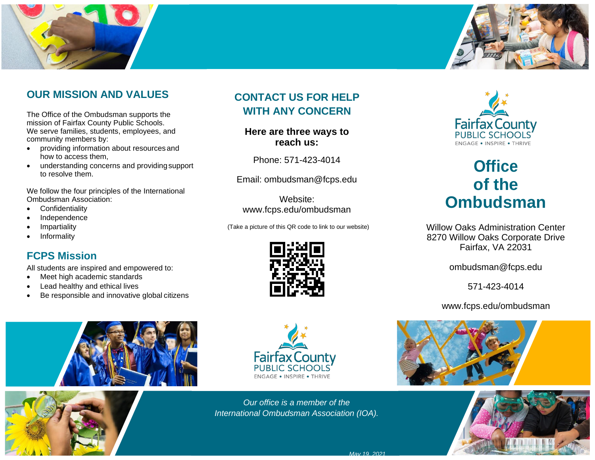



#### **OUR MISSION AND VALUES**

The Office of the Ombudsman supports the mission of Fairfax County Public Schools. We serve families, students, employees, and community members by:

- providing information about resources and how to access them,
- understanding concerns and providingsupport to resolve them.

We follow the four principles of the International Ombudsman Association:

- Confidentiality
- Independence
- **Impartiality**
- **Informality**

#### **FCPS Mission**

All students are inspired and empowered to:

- Meet high academic standards
- Lead healthy and ethical lives
- Be responsible and innovative global citizens

## **CONTACT US FOR HELP WITH ANY CONCERN**

**Here are three ways to reach us:**

Phone: 571-423-4014

Email: [ombudsman@fcps.edu](mailto:ombudsman@fcps.edu)

Website: [www.fcps.edu/ombudsman](http://www.fcps.edu/ombudsman)

(Take a picture of this QR code to link to our website)





# **Office of the Ombudsman**

Willow Oaks Administration Center 8270 Willow Oaks Corporate Drive Fairfax, VA 22031

[ombudsman@fcps.edu](mailto:ombudsman@fcps.edu)

571-423-4014

[www.fcps.edu/ombudsman](http://www.fcps.edu/ombudsman)





*Our office is a member of the International Ombudsman Association (IOA).*